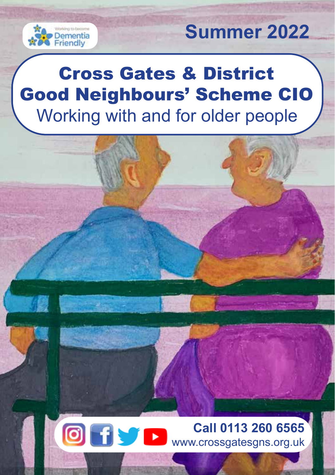

## **Summer 2022**

## Cross Gates & District Good Neighbours' Scheme CIO Working with and for older people

Ofvr

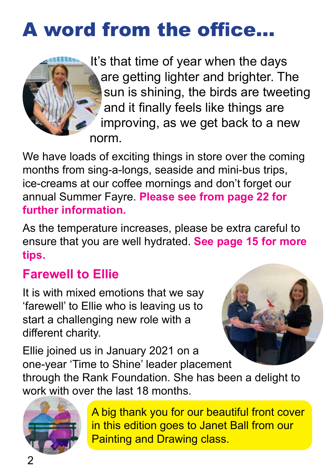## A word from the office...



It's that time of year when the days are getting lighter and brighter. The sun is shining, the birds are tweeting and it finally feels like things are improving, as we get back to a new norm.

We have loads of exciting things in store over the coming months from sing-a-longs, seaside and mini-bus trips, ice-creams at our coffee mornings and don't forget our annual Summer Fayre. **Please see from page 22 for further information.**

As the temperature increases, please be extra careful to ensure that you are well hydrated. **See page 15 for more tips.**

## **Farewell to Ellie**

It is with mixed emotions that we say 'farewell' to Ellie who is leaving us to start a challenging new role with a different charity.



Ellie joined us in January 2021 on a one-year 'Time to Shine' leader placement through the Rank Foundation. She has been a delight to work with over the last 18 months.



A big thank you for our beautiful front cover in this edition goes to Janet Ball from our Painting and Drawing class.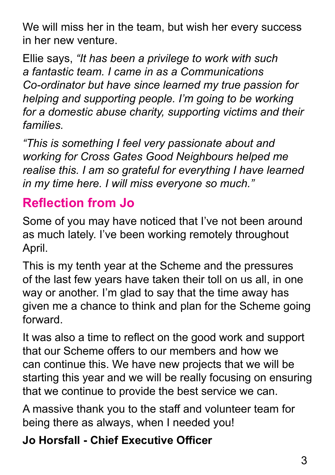We will miss her in the team, but wish her every success in her new venture.

Ellie says, *"It has been a privilege to work with such a fantastic team. I came in as a Communications Co-ordinator but have since learned my true passion for helping and supporting people. I'm going to be working for a domestic abuse charity, supporting victims and their families.* 

*"This is something I feel very passionate about and working for Cross Gates Good Neighbours helped me realise this. I am so grateful for everything I have learned in my time here. I will miss everyone so much."*

## **Reflection from Jo**

Some of you may have noticed that I've not been around as much lately. I've been working remotely throughout April.

This is my tenth year at the Scheme and the pressures of the last few years have taken their toll on us all, in one way or another. I'm glad to say that the time away has given me a chance to think and plan for the Scheme going forward.

It was also a time to reflect on the good work and support that our Scheme offers to our members and how we can continue this. We have new projects that we will be starting this year and we will be really focusing on ensuring that we continue to provide the best service we can.

A massive thank you to the staff and volunteer team for being there as always, when I needed you!

**Jo Horsfall - Chief Executive Officer**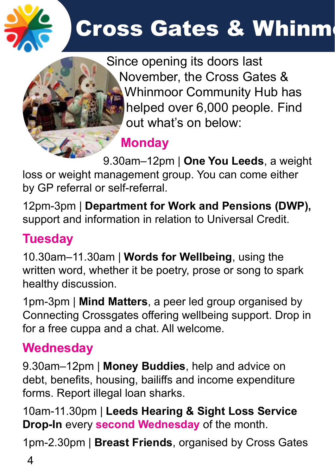

# **Cross Gates & Whinm**



Since opening its doors last November, the Cross Gates & Whinmoor Community Hub has helped over 6,000 people. Find out what's on below:

## **Monday**

9.30am–12pm | **One You Leeds**, a weight loss or weight management group. You can come either by GP referral or self-referral.

12pm-3pm | **Department for Work and Pensions (DWP),**  support and information in relation to Universal Credit.

## **Tuesday**

10.30am–11.30am | **Words for Wellbeing**, using the written word, whether it be poetry, prose or song to spark healthy discussion.

1pm-3pm | **Mind Matters**, a peer led group organised by Connecting Crossgates offering wellbeing support. Drop in for a free cuppa and a chat. All welcome.

## **Wednesday**

9.30am–12pm | **Money Buddies**, help and advice on debt, benefits, housing, bailiffs and income expenditure forms. Report illegal loan sharks.

10am-11.30pm | **Leeds Hearing & Sight Loss Service Drop-In** every **second Wednesday** of the month.

1pm-2.30pm | **Breast Friends**, organised by Cross Gates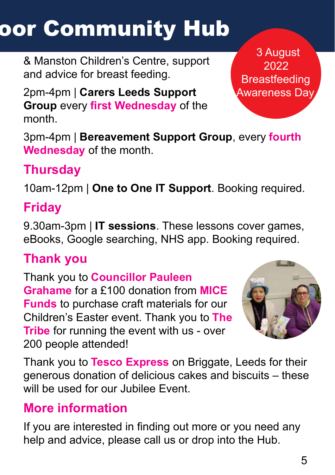# **OOr Community Hub**

& Manston Children's Centre, support and advice for breast feeding.

2pm-4pm | **Carers Leeds Support Group** every **first Wednesday** of the month.

3pm-4pm | **Bereavement Support Group**, every **fourth Wednesday** of the month.

## **Thursday**

10am-12pm | **One to One IT Support**. Booking required.

## **Friday**

9.30am-3pm | **IT sessions**. These lessons cover games, eBooks, Google searching, NHS app. Booking required.

### **Thank you**

Thank you to **Councillor Pauleen Grahame** for a £100 donation from **MICE Funds** to purchase craft materials for our Children's Easter event. Thank you to **The Tribe** for running the event with us - over 200 people attended!



Thank you to **Tesco Express** on Briggate, Leeds for their generous donation of delicious cakes and biscuits – these will be used for our Jubilee Event.

### **More information**

If you are interested in finding out more or you need any help and advice, please call us or drop into the Hub.

 3 August 2022 **Breastfeeding** Awareness Day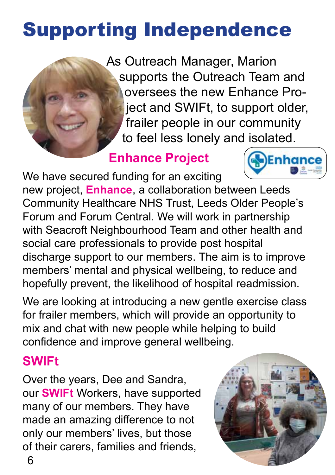## Supporting Independence



As Outreach Manager, Marion supports the Outreach Team and oversees the new Enhance Project and SWIFt, to support older, frailer people in our community to feel less lonely and isolated.

## **Enhance Project**

We have secured funding for an exciting new project, **Enhance**, a collaboration between Leeds Community Healthcare NHS Trust, Leeds Older People's Forum and Forum Central. We will work in partnership with Seacroft Neighbourhood Team and other health and social care professionals to provide post hospital discharge support to our members. The aim is to improve members' mental and physical wellbeing, to reduce and hopefully prevent, the likelihood of hospital readmission.

We are looking at introducing a new gentle exercise class for frailer members, which will provide an opportunity to mix and chat with new people while helping to build confidence and improve general wellbeing.

### **SWIFt**

Over the years, Dee and Sandra, our **SWIFt** Workers, have supported many of our members. They have made an amazing difference to not only our members' lives, but those of their carers, families and friends,



Enhanc

6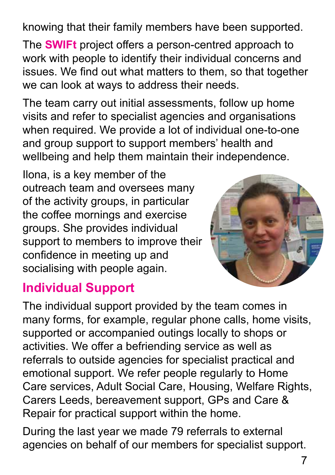knowing that their family members have been supported.

The **SWIFt** project offers a person-centred approach to work with people to identify their individual concerns and issues. We find out what matters to them, so that together we can look at ways to address their needs.

The team carry out initial assessments, follow up home visits and refer to specialist agencies and organisations when required. We provide a lot of individual one-to-one and group support to support members' health and wellbeing and help them maintain their independence.

Ilona, is a key member of the outreach team and oversees many of the activity groups, in particular the coffee mornings and exercise groups. She provides individual support to members to improve their confidence in meeting up and socialising with people again.



### **Individual Support**

The individual support provided by the team comes in many forms, for example, regular phone calls, home visits, supported or accompanied outings locally to shops or activities. We offer a befriending service as well as referrals to outside agencies for specialist practical and emotional support. We refer people regularly to Home Care services, Adult Social Care, Housing, Welfare Rights, Carers Leeds, bereavement support, GPs and Care & Repair for practical support within the home.

During the last year we made 79 referrals to external agencies on behalf of our members for specialist support.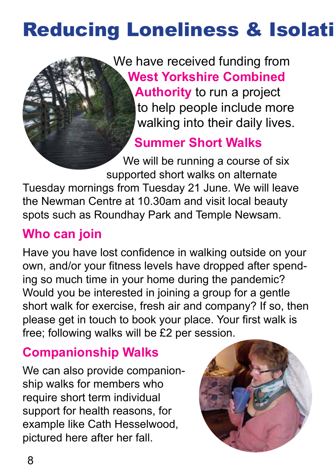## **Reducing Loneliness & Isolati**

We have received funding from **West Yorkshire Combined Authority** to run a project to help people include more walking into their daily lives.

**Summer Short Walks**

We will be running a course of six supported short walks on alternate Tuesday mornings from Tuesday 21 June. We will leave the Newman Centre at 10.30am and visit local beauty spots such as Roundhay Park and Temple Newsam.

## **Who can join**

Have you have lost confidence in walking outside on your own, and/or your fitness levels have dropped after spending so much time in your home during the pandemic? Would you be interested in joining a group for a gentle short walk for exercise, fresh air and company? If so, then please get in touch to book your place. Your first walk is free; following walks will be £2 per session.

## **Companionship Walks**

We can also provide companionship walks for members who require short term individual support for health reasons, for example like Cath Hesselwood, pictured here after her fall.

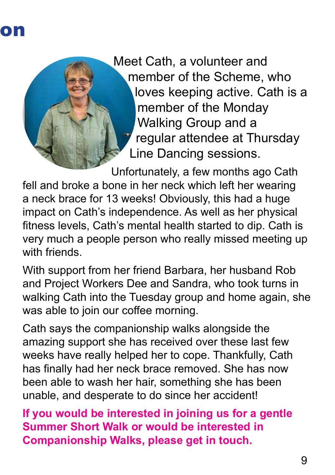

Meet Cath, a volunteer and member of the Scheme, who loves keeping active. Cath is a member of the Monday Walking Group and a regular attendee at Thursday Line Dancing sessions.

Unfortunately, a few months ago Cath fell and broke a bone in her neck which left her wearing a neck brace for 13 weeks! Obviously, this had a huge impact on Cath's independence. As well as her physical fitness levels, Cath's mental health started to dip. Cath is very much a people person who really missed meeting up with friends

With support from her friend Barbara, her husband Rob and Project Workers Dee and Sandra, who took turns in walking Cath into the Tuesday group and home again, she was able to join our coffee morning.

Cath says the companionship walks alongside the amazing support she has received over these last few weeks have really helped her to cope. Thankfully, Cath has finally had her neck brace removed. She has now been able to wash her hair, something she has been unable, and desperate to do since her accident!

**If you would be interested in joining us for a gentle Summer Short Walk or would be interested in Companionship Walks, please get in touch.**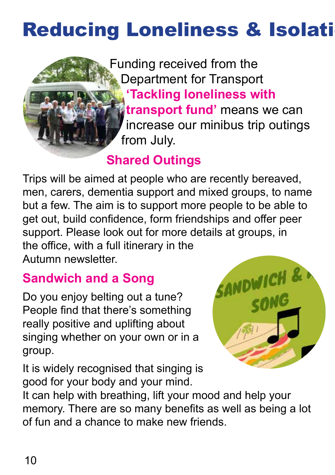## **Reducing Loneliness & Isolati**



Funding received from the Department for Transport **'Tackling loneliness with transport fund'** means we can increase our minibus trip outings from July.

### **Shared Outings**

Trips will be aimed at people who are recently bereaved, men, carers, dementia support and mixed groups, to name but a few. The aim is to support more people to be able to get out, build confidence, form friendships and offer peer support. Please look out for more details at groups, in the office, with a full itinerary in the Autumn newsletter.

## **Sandwich and a Song**

Do you enjoy belting out a tune? People find that there's something really positive and uplifting about singing whether on your own or in a group.

It is widely recognised that singing is good for your body and your mind.



It can help with breathing, lift your mood and help your memory. There are so many benefits as well as being a lot of fun and a chance to make new friends.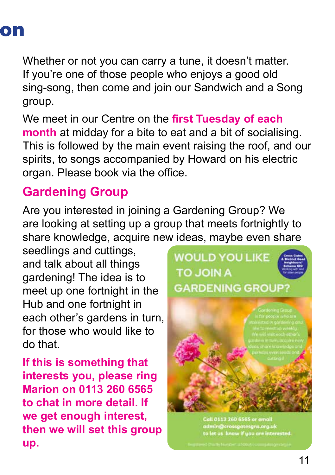

Whether or not you can carry a tune, it doesn't matter. If you're one of those people who enjoys a good old sing-song, then come and join our Sandwich and a Song group.

We meet in our Centre on the **first Tuesday of each month** at midday for a bite to eat and a bit of socialising. This is followed by the main event raising the roof, and our spirits, to songs accompanied by Howard on his electric organ. Please book via the office.

### **Gardening Group**

Are you interested in joining a Gardening Group? We are looking at setting up a group that meets fortnightly to share knowledge, acquire new ideas, maybe even share

seedlings and cuttings, and talk about all things gardening! The idea is to meet up one fortnight in the Hub and one fortnight in each other's gardens in turn, for those who would like to do that.

**If this is something that interests you, please ring Marion on 0113 260 6565 to chat in more detail. If we get enough interest, then we will set this group up.**



Call 0113 260 6565 or email admin@crossgatesgns.org.uk<br>to let us know if you are interested.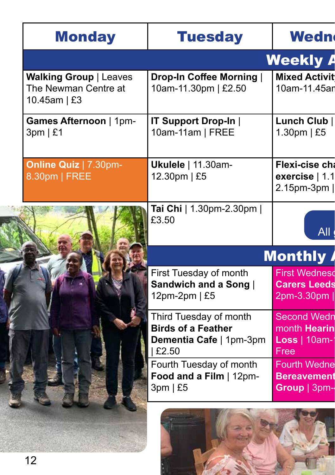|  | <b>Monday</b>                                                              | <b>Tuesday</b>                                                   | Wedn                                                      |
|--|----------------------------------------------------------------------------|------------------------------------------------------------------|-----------------------------------------------------------|
|  |                                                                            |                                                                  | <b>Weekly A</b>                                           |
|  | <b>Walking Group   Leaves</b><br>The Newman Centre at<br>10.45am $\mid$ £3 | Drop-In Coffee Morning<br>10am-11.30pm   £2.50                   | <b>Mixed Activit</b><br>10am-11.45ar                      |
|  | Games Afternoon   1pm-<br>3pm   £1                                         | <b>IT Support Drop-In  </b><br>10am-11am   FREE                  | Lunch Club  <br>1.30pm $\mid$ £5                          |
|  | <b>Online Quiz   7.30pm-</b><br>8.30pm   FREE                              | <b>Ukulele</b>   11.30am-<br>12.30pm   £5                        | Flexi-cise ch<br>exercise $ 1.1 $<br>2.15pm-3pm           |
|  |                                                                            | Tai Chi   1.30pm-2.30pm  <br>£3.50                               | All (                                                     |
|  |                                                                            |                                                                  | <b>Monthly</b>                                            |
|  |                                                                            | First Tuesday of month<br>Sandwich and a Song  <br>12pm-2pm   £5 | <b>First Wednesd</b><br><b>Carers Leeds</b><br>2pm-3.30pm |
|  |                                                                            | Third Tuesday of month<br><b>Birds of a Feather</b>              | <b>Second Wedn</b><br>month <b>Hearin</b>                 |
|  |                                                                            | Dementia Cafe   1pm-3pm<br>£2.50                                 | Loss   10am-1<br>Free                                     |
|  |                                                                            | Fourth Tuesday of month<br>Food and a Film   12pm-<br>3pm   £5   | <b>Fourth Wedne</b><br><b>Bereavement</b><br>Group   3pm- |
|  |                                                                            |                                                                  |                                                           |

医皮质 **Soft II**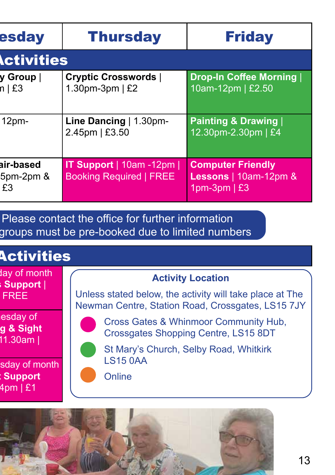| esday                        | <b>Thursday</b>                                           | <b>Friday</b>                                                                     |  |  |
|------------------------------|-----------------------------------------------------------|-----------------------------------------------------------------------------------|--|--|
| <b>Activities</b>            |                                                           |                                                                                   |  |  |
| y Group  <br>h   E3          | <b>Cryptic Crosswords  </b><br>1.30pm-3pm   £2            | Drop-In Coffee Morning<br>10am-12pm   £2.50                                       |  |  |
| 12 <sub>pm</sub>             | Line Dancing   1.30pm-<br>2.45pm   £3.50                  | <b>Painting &amp; Drawing  </b><br>12.30pm-2.30pm   £4                            |  |  |
| air-based<br>5pm-2pm &<br>£3 | IT Support   10am -12pm<br><b>Booking Required   FREE</b> | <b>Computer Friendly</b><br><b>Lessons</b>   10am-12pm $\&$<br>1pm-3pm $\vert$ £3 |  |  |

Please contact the office for further information groups must be pre-booked due to limited numbers

## **Activities**

lay of month **Support** | **FREE** 

esday of month **Hearing & Sight 11.30am** |

sday of month **Support 4pm | £1** 

#### **Activity Location**

Unless stated below, the activity will take place at The Newman Centre, Station Road, Crossgates, LS15 7JY

Cross Gates & Whinmoor Community Hub, Crossgates Shopping Centre, LS15 8DT

St Mary's Church, Selby Road, Whitkirk LS15 0AA

**Online** 

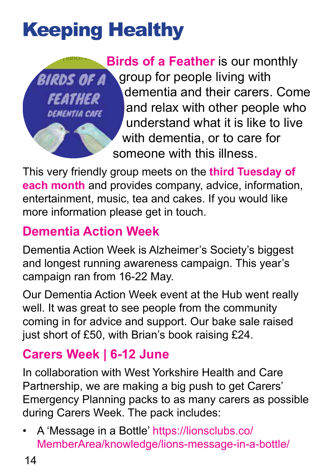# Keeping Healthy



**Birds of a Feather** is our monthly group for people living with dementia and their carers. Come and relax with other people who understand what it is like to live with dementia, or to care for someone with this illness.

This very friendly group meets on the **third Tuesday of each month** and provides company, advice, information, entertainment, music, tea and cakes. If you would like more information please get in touch.

## **Dementia Action Week**

Dementia Action Week is Alzheimer's Society's biggest and longest running awareness campaign. This year's campaign ran from 16-22 May.

Our Dementia Action Week event at the Hub went really well. It was great to see people from the community coming in for advice and support. Our bake sale raised just short of £50, with Brian's book raising £24.

## **Carers Week | 6-12 June**

In collaboration with West Yorkshire Health and Care Partnership, we are making a big push to get Carers' Emergency Planning packs to as many carers as possible during Carers Week. The pack includes:

• A 'Message in a Bottle' https://lionsclubs.co/ MemberArea/knowledge/lions-message-in-a-bottle/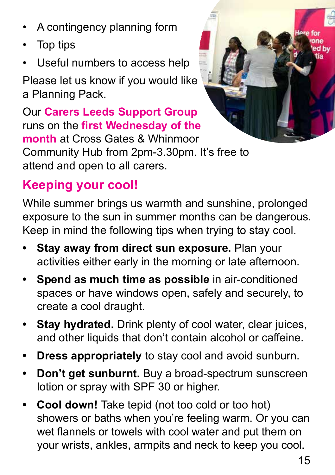- A contingency planning form
- Top tips
- Useful numbers to access help

Please let us know if you would like a Planning Pack.

Our **Carers Leeds Support Group**  runs on the **first Wednesday of the month** at Cross Gates & Whinmoor Community Hub from 2pm-3.30pm. It's free to attend and open to all carers.

## **Keeping your cool!**

While summer brings us warmth and sunshine, prolonged exposure to the sun in summer months can be dangerous. Keep in mind the following tips when trying to stay cool.

- **• Stay away from direct sun exposure.** Plan your activities either early in the morning or late afternoon.
- **• Spend as much time as possible** in air-conditioned spaces or have windows open, safely and securely, to create a cool draught.
- **Stay hydrated.** Drink plenty of cool water, clear juices, and other liquids that don't contain alcohol or caffeine.
- **• Dress appropriately** to stay cool and avoid sunburn.
- **• Don't get sunburnt.** Buy a broad-spectrum sunscreen lotion or spray with SPF 30 or higher.
- **Cool down!** Take tepid (not too cold or too hot) showers or baths when you're feeling warm. Or you can wet flannels or towels with cool water and put them on your wrists, ankles, armpits and neck to keep you cool.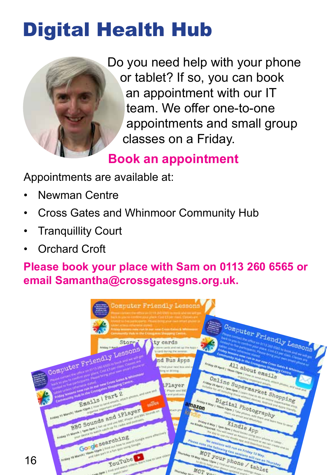## Digital Health Hub



Do you need help with your phone or tablet? If so, you can book an appointment with our IT team. We offer one-to-one appointments and small group classes on a Friday.

## **Book an appointment**

Appointments are available at:

- Newman Centre
- Cross Gates and Whinmoor Community Hub
- **Tranquillity Court**
- Orchard Croft

### **Please book your place with Sam on 0113 260 6565 or email Samantha@crossgatesgns.org.uk.**

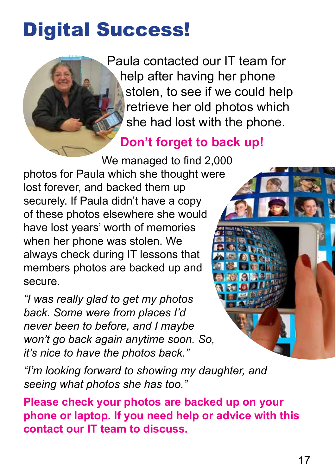## Digital Success!

Paula contacted our IT team for help after having her phone stolen, to see if we could help retrieve her old photos which she had lost with the phone.

### **Don't forget to back up!**

We managed to find 2,000 photos for Paula which she thought were lost forever, and backed them up securely. If Paula didn't have a copy of these photos elsewhere she would have lost years' worth of memories when her phone was stolen. We always check during IT lessons that members photos are backed up and secure.

*"I was really glad to get my photos back. Some were from places I'd never been to before, and I maybe won't go back again anytime soon. So, it's nice to have the photos back."*

*"I'm looking forward to showing my daughter, and seeing what photos she has too."*

**Please check your photos are backed up on your phone or laptop. If you need help or advice with this contact our IT team to discuss.**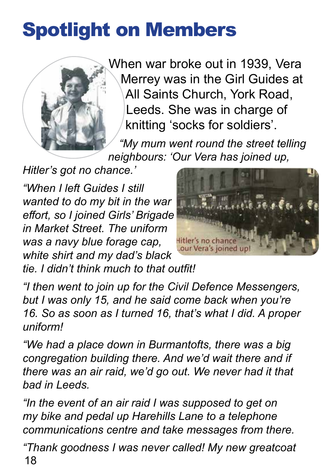## Spotlight on Members



When war broke out in 1939, Vera Merrey was in the Girl Guides at All Saints Church, York Road, Leeds. She was in charge of knitting 'socks for soldiers'.

*"My mum went round the street telling neighbours: 'Our Vera has joined up,* 

*Hitler's got no chance.'*

*"When I left Guides I still wanted to do my bit in the war effort, so I joined Girls' Brigade in Market Street. The uniform was a navy blue forage cap, white shirt and my dad's black* 



*tie. I didn't think much to that outfit!*

*"I then went to join up for the Civil Defence Messengers, but I was only 15, and he said come back when you're 16. So as soon as I turned 16, that's what I did. A proper uniform!*

*"We had a place down in Burmantofts, there was a big congregation building there. And we'd wait there and if there was an air raid, we'd go out. We never had it that bad in Leeds.*

*"In the event of an air raid I was supposed to get on my bike and pedal up Harehills Lane to a telephone communications centre and take messages from there.*

18 *"Thank goodness I was never called! My new greatcoat*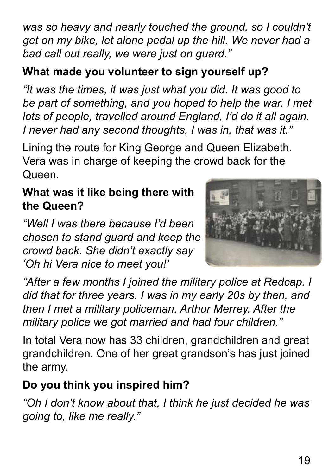19

*was so heavy and nearly touched the ground, so I couldn't get on my bike, let alone pedal up the hill. We never had a bad call out really, we were just on guard."*

### **What made you volunteer to sign yourself up?**

*"It was the times, it was just what you did. It was good to be part of something, and you hoped to help the war. I met lots of people, travelled around England, I'd do it all again. I never had any second thoughts, I was in, that was it."*

Lining the route for King George and Queen Elizabeth. Vera was in charge of keeping the crowd back for the Queen.

### **What was it like being there with the Queen?**

*"Well I was there because I'd been chosen to stand guard and keep the crowd back. She didn't exactly say 'Oh hi Vera nice to meet you!'*

*"After a few months I joined the military police at Redcap. I did that for three years. I was in my early 20s by then, and then I met a military policeman, Arthur Merrey. After the military police we got married and had four children."*

In total Vera now has 33 children, grandchildren and great grandchildren. One of her great grandson's has just joined the army.

### **Do you think you inspired him?**

*"Oh I don't know about that, I think he just decided he was going to, like me really."*

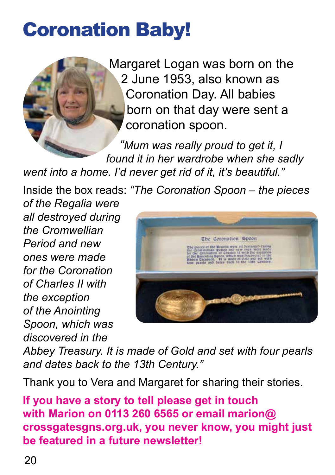## Coronation Baby!



Margaret Logan was born on the 2 June 1953, also known as Coronation Day. All babies born on that day were sent a coronation spoon.

*"Mum was really proud to get it, I found it in her wardrobe when she sadly went into a home. I'd never get rid of it, it's beautiful."*

Inside the box reads: *"The Coronation Spoon – the pieces* 

*of the Regalia were all destroyed during the Cromwellian Period and new ones were made for the Coronation of Charles II with the exception of the Anointing Spoon, which was discovered in the* 



*Abbey Treasury. It is made of Gold and set with four pearls and dates back to the 13th Century."*

Thank you to Vera and Margaret for sharing their stories.

**If you have a story to tell please get in touch with Marion on 0113 260 6565 or email marion@ crossgatesgns.org.uk, you never know, you might just be featured in a future newsletter!**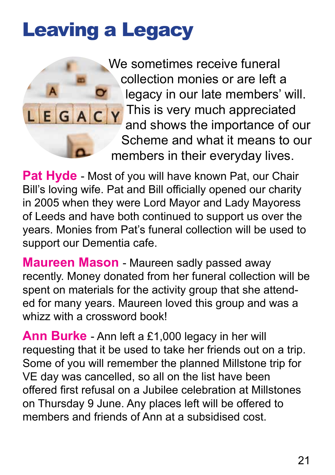## Leaving a Legacy



We sometimes receive funeral collection monies or are left a legacy in our late members' will. This is very much appreciated and shows the importance of our Scheme and what it means to our members in their everyday lives.

Pat Hyde - Most of you will have known Pat, our Chair Bill's loving wife. Pat and Bill officially opened our charity in 2005 when they were Lord Mayor and Lady Mayoress of Leeds and have both continued to support us over the years. Monies from Pat's funeral collection will be used to support our Dementia cafe.

**Maureen Mason** - Maureen sadly passed away recently. Money donated from her funeral collection will be spent on materials for the activity group that she attended for many years. Maureen loved this group and was a whizz with a crossword book!

**Ann Burke** - Ann left a £1,000 legacy in her will requesting that it be used to take her friends out on a trip. Some of you will remember the planned Millstone trip for VE day was cancelled, so all on the list have been offered first refusal on a Jubilee celebration at Millstones on Thursday 9 June. Any places left will be offered to members and friends of Ann at a subsidised cost.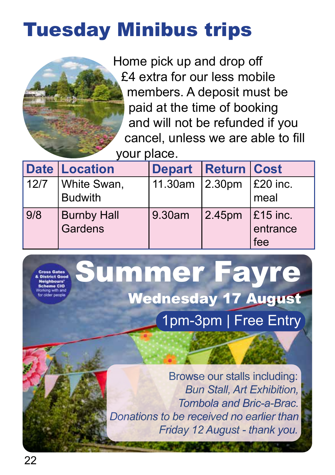## Tuesday Minibus trips

 Home pick up and drop off £4 extra for our less mobile members. A deposit must be paid at the time of booking and will not be refunded if you cancel, unless we are able to fill your place.

|      | <b>Date Location</b>          | <b>Depart Return Cost</b> |                    |                                     |
|------|-------------------------------|---------------------------|--------------------|-------------------------------------|
| 12/7 | White Swan,<br><b>Budwith</b> | 11.30am 2.30pm            |                    | $\vert$ £20 inc.<br>meal            |
| 9/8  | <b>Burnby Hall</b><br>Gardens | 9.30am                    | 2.45 <sub>pm</sub> | $\vert$ £15 inc.<br>entrance<br>fee |



Browse our stalls including: *Bun Stall, Art Exhibition, Tombola and Bric-a-Brac. Donations to be received no earlier than Friday 12 August - thank you.*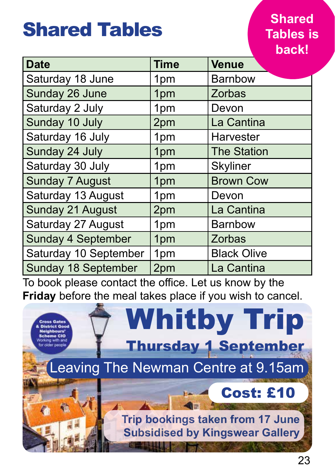## Shared Tables

### **Shared Tables is back!**

| <b>Date</b>                | <b>Time</b>     | <b>Venue</b>       |
|----------------------------|-----------------|--------------------|
| Saturday 18 June           | 1 <sub>pm</sub> | <b>Barnbow</b>     |
| Sunday 26 June             | 1pm             | Zorbas             |
| Saturday 2 July            | 1 <sub>pm</sub> | Devon              |
| Sunday 10 July             | 2pm             | La Cantina         |
| Saturday 16 July           | 1 <sub>pm</sub> | <b>Harvester</b>   |
| Sunday 24 July             | 1pm             | <b>The Station</b> |
| Saturday 30 July           | 1pm             | <b>Skyliner</b>    |
| <b>Sunday 7 August</b>     | 1pm             | <b>Brown Cow</b>   |
| Saturday 13 August         | 1 <sub>pm</sub> | Devon              |
| <b>Sunday 21 August</b>    | 2pm             | La Cantina         |
| Saturday 27 August         | 1pm             | <b>Barnbow</b>     |
| <b>Sunday 4 September</b>  | 1pm             | <b>Zorbas</b>      |
| Saturday 10 September      | 1pm             | <b>Black Olive</b> |
| <b>Sunday 18 September</b> | 2pm             | La Cantina         |

To book please contact the office. Let us know by the **Friday** before the meal takes place if you wish to cancel.